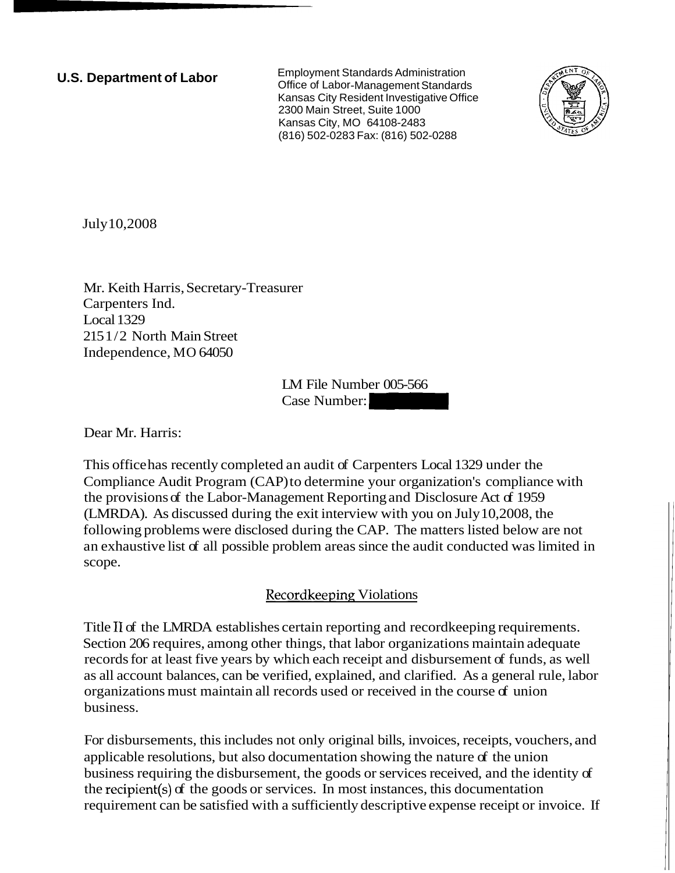**U.S. Department of Labor** Employment Standards Administration Office of Labor-Management Standards Kansas City Resident Investigative Office 2300 Main Street, Suite 1000 Kansas City, MO 64108-2483 (816) 502-0283 Fax: (816) 502-0288



July 10,2008

Mr. Keith Harris, Secretary-Treasurer Carpenters Ind. Local 1329 215 1/2 North Main Street Independence, MO 64050

LM File Number 005-566 urer<br>LM File Number 005-566<br>Case Number:

Dear Mr. Harris:

This office has recently completed an audit of Carpenters Local 1329 under the Compliance Audit Program (CAP) to determine your organization's compliance with the provisions of the Labor-Management Reporting and Disclosure Act of 1959 (LMRDA). As discussed during the exit interview with you on July 10,2008, the following problems were disclosed during the CAP. The matters listed below are not an exhaustive list of all possible problem areas since the audit conducted was limited in scope.

## Recordkeeping Violations

Title I1 of the LMRDA establishes certain reporting and recordkeeping requirements. Section 206 requires, among other things, that labor organizations maintain adequate records for at least five years by which each receipt and disbursement of funds, as well as all account balances, can be verified, explained, and clarified. As a general rule, labor organizations must maintain all records used or received in the course of union business.

For disbursements, this includes not only original bills, invoices, receipts, vouchers, and applicable resolutions, but also documentation showing the nature of the union business requiring the disbursement, the goods or services received, and the identity of the recipient(s) of the goods or services. In most instances, this documentation requirement can be satisfied with a sufficiently descriptive expense receipt or invoice. If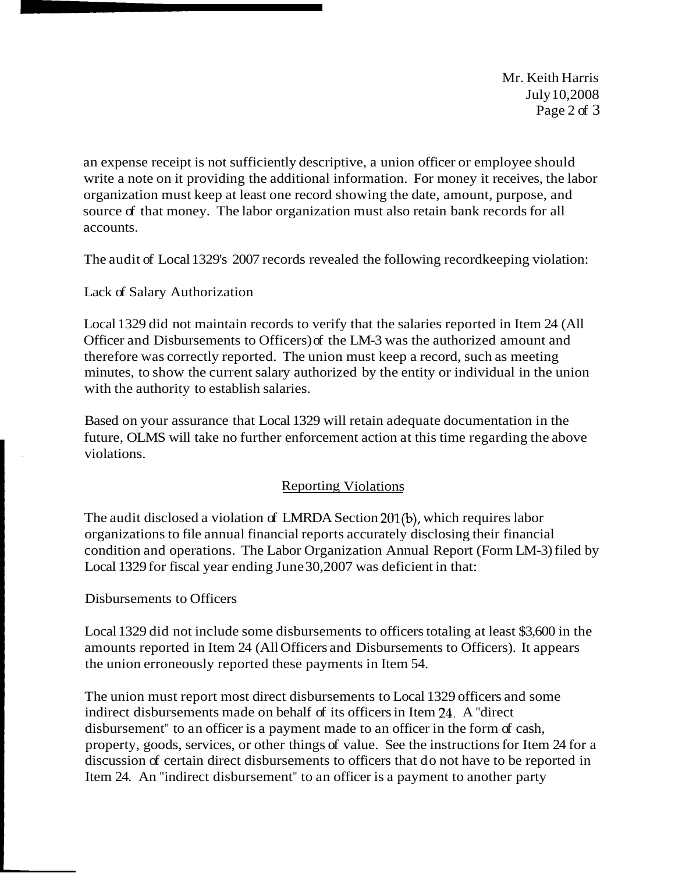Mr. Keith Harris July 10,2008 Page 2 of 3

an expense receipt is not sufficiently descriptive, a union officer or employee should write a note on it providing the additional information. For money it receives, the labor organization must keep at least one record showing the date, amount, purpose, and source of that money. The labor organization must also retain bank records for all accounts.

The audit of Local 1329's 2007 records revealed the following recordkeeping violation:

Lack of Salary Authorization

Local 1329 did not maintain records to verify that the salaries reported in Item 24 (All Officer and Disbursements to Officers) of the LM-3 was the authorized amount and therefore was correctly reported. The union must keep a record, such as meeting minutes, to show the current salary authorized by the entity or individual in the union with the authority to establish salaries.

Based on your assurance that Local 1329 will retain adequate documentation in the future, OLMS will take no further enforcement action at this time regarding the above violations.

## **Reporting Violations**

The audit disclosed a violation of LMRDA Section 201(b), which requires labor organizations to file annual financial reports accurately disclosing their financial condition and operations. The Labor Organization Annual Report (Form LM-3) filed by Local 1329 for fiscal year ending June 30,2007 was deficient in that:

## Disbursements to Officers

Local 1329 did not include some disbursements to officers totaling at least \$3,600 in the amounts reported in Item 24 (All Officers and Disbursements to Officers). It appears the union erroneously reported these payments in Item 54.

The union must report most direct disbursements to Local 1329 officers and some indirect disbursements made on behalf of its officers in Item 24. A "direct disbursement" to an officer is a payment made to an officer in the form of cash, property, goods, services, or other things of value. See the instructions for Item 24 for a discussion of certain direct disbursements to officers that do not have to be reported in Item 24. An "indirect disbursement" to an officer is a payment to another party